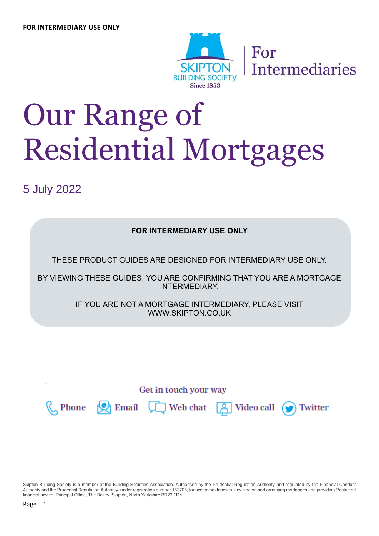

For **Intermediaries** 

# Our Range of Residential Mortgages

5 July 2022

**FOR INTERMEDIARY USE ONLY**

THESE PRODUCT GUIDES ARE DESIGNED FOR INTERMEDIARY USE ONLY.

BY VIEWING THESE GUIDES, YOU ARE CONFIRMING THAT YOU ARE A MORTGAGE INTERMEDIARY.

> IF YOU ARE NOT A MORTGAGE INTERMEDIARY, PLEASE VISIT WWW.SKIPTON.CO.UK

> > Get in touch your way



Phone  $\bigotimes$  Email  $\bigcup$  Web chat

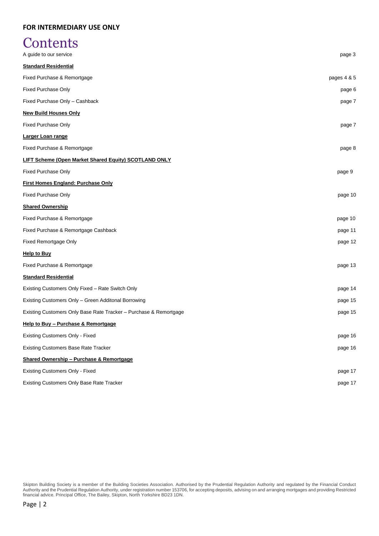# **Contents**

| A guide to our service                                            | page 3      |
|-------------------------------------------------------------------|-------------|
| <b>Standard Residential</b>                                       |             |
| Fixed Purchase & Remortgage                                       | pages 4 & 5 |
| <b>Fixed Purchase Only</b>                                        | page 6      |
| Fixed Purchase Only - Cashback                                    | page 7      |
| <b>New Build Houses Only</b>                                      |             |
| <b>Fixed Purchase Only</b>                                        | page 7      |
| Larger Loan range                                                 |             |
| Fixed Purchase & Remortgage                                       | page 8      |
| LIFT Scheme (Open Market Shared Equity) SCOTLAND ONLY             |             |
| Fixed Purchase Only                                               | page 9      |
| <b>First Homes England: Purchase Only</b>                         |             |
| <b>Fixed Purchase Only</b>                                        | page 10     |
| <b>Shared Ownership</b>                                           |             |
| Fixed Purchase & Remortgage                                       | page 10     |
| Fixed Purchase & Remortgage Cashback                              | page 11     |
| Fixed Remortgage Only                                             | page 12     |
| <b>Help to Buy</b>                                                |             |
| Fixed Purchase & Remortgage                                       | page 13     |
| <b>Standard Residential</b>                                       |             |
| Existing Customers Only Fixed - Rate Switch Only                  | page 14     |
| Existing Customers Only - Green Additonal Borrowing               | page 15     |
| Existing Customers Only Base Rate Tracker - Purchase & Remortgage | page 15     |
| Help to Buy - Purchase & Remortgage                               |             |
| Existing Customers Only - Fixed                                   | page 16     |
| <b>Existing Customers Base Rate Tracker</b>                       | page 16     |
| <b>Shared Ownership - Purchase &amp; Remortgage</b>               |             |
| <b>Existing Customers Only - Fixed</b>                            | page 17     |
| Existing Customers Only Base Rate Tracker                         | page 17     |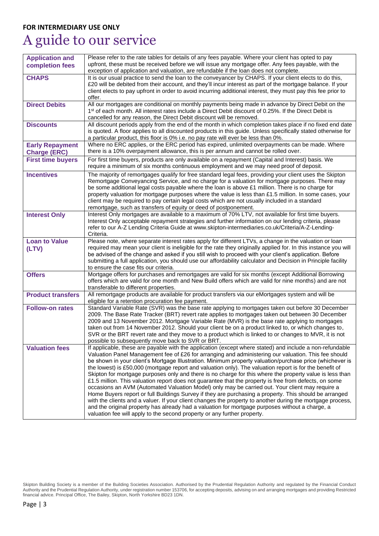# A guide to our service

| <b>Application and</b>   | Please refer to the rate tables for details of any fees payable. Where your client has opted to pay                                                                                                           |
|--------------------------|---------------------------------------------------------------------------------------------------------------------------------------------------------------------------------------------------------------|
| completion fees          | upfront, these must be received before we will issue any mortgage offer. Any fees payable, with the                                                                                                           |
|                          | exception of application and valuation, are refundable if the loan does not complete.                                                                                                                         |
| <b>CHAPS</b>             | It is our usual practice to send the loan to the conveyancer by CHAPS. If your client elects to do this,                                                                                                      |
|                          | £20 will be debited from their account, and they'll incur interest as part of the mortgage balance. If your                                                                                                   |
|                          | client elects to pay upfront in order to avoid incurring additional interest, they must pay this fee prior to                                                                                                 |
|                          | offer.                                                                                                                                                                                                        |
| <b>Direct Debits</b>     | All our mortgages are conditional on monthly payments being made in advance by Direct Debit on the<br>1st of each month. All interest rates include a Direct Debit discount of 0.25%. If the Direct Debit is  |
|                          | cancelled for any reason, the Direct Debit discount will be removed.                                                                                                                                          |
| <b>Discounts</b>         | All discount periods apply from the end of the month in which completion takes place if no fixed end date                                                                                                     |
|                          | is quoted. A floor applies to all discounted products in this guide. Unless specifically stated otherwise for                                                                                                 |
|                          | a particular product, this floor is 0% i.e. no pay rate will ever be less than 0%.                                                                                                                            |
| <b>Early Repayment</b>   | Where no ERC applies, or the ERC period has expired, unlimited overpayments can be made. Where                                                                                                                |
| <b>Charge (ERC)</b>      | there is a 10% overpayment allowance, this is per annum and cannot be rolled over.                                                                                                                            |
| <b>First time buyers</b> | For first time buyers, products are only available on a repayment (Capital and Interest) basis. We                                                                                                            |
|                          | require a minimum of six months continuous employment and we may need proof of deposit.                                                                                                                       |
| <b>Incentives</b>        | The majority of remortgages qualify for free standard legal fees, providing your client uses the Skipton                                                                                                      |
|                          | Remortgage Conveyancing Service, and no charge for a valuation for mortgage purposes. There may                                                                                                               |
|                          | be some additional legal costs payable where the loan is above £1 million. There is no charge for                                                                                                             |
|                          | property valuation for mortgage purposes where the value is less than £1.5 million. In some cases, your                                                                                                       |
|                          | client may be required to pay certain legal costs which are not usually included in a standard                                                                                                                |
|                          | remortgage, such as transfers of equity or deed of postponement.                                                                                                                                              |
| <b>Interest Only</b>     | Interest Only mortgages are available to a maximum of 70% LTV, not available for first time buyers.                                                                                                           |
|                          | Interest Only acceptable repayment strategies and further information on our lending criteria, please                                                                                                         |
|                          | refer to our A-Z Lending Criteria Guide at www.skipton-intermediaries.co.uk/Criteria/A-Z-Lending-                                                                                                             |
|                          | Criteria.                                                                                                                                                                                                     |
| <b>Loan to Value</b>     | Please note, where separate interest rates apply for different LTVs, a change in the valuation or loan                                                                                                        |
| (LTV)                    | required may mean your client is ineligible for the rate they originally applied for. In this instance you will                                                                                               |
|                          |                                                                                                                                                                                                               |
|                          | be advised of the change and asked if you still wish to proceed with your client's application. Before                                                                                                        |
|                          | submitting a full application, you should use our affordability calculator and Decision in Principle facility                                                                                                 |
|                          | to ensure the case fits our criteria.                                                                                                                                                                         |
| <b>Offers</b>            | Mortgage offers for purchases and remortgages are valid for six months (except Additional Borrowing                                                                                                           |
|                          | offers which are valid for one month and New Build offers which are valid for nine months) and are not                                                                                                        |
|                          | transferable to different properties.                                                                                                                                                                         |
| <b>Product transfers</b> | All remortgage products are available for product transfers via our eMortgages system and will be                                                                                                             |
| <b>Follow-on rates</b>   | eligible for a retention procuration fee payment.<br>Standard Variable Rate (SVR) was the base rate applying to mortgages taken out before 30 December                                                        |
|                          | 2009. The Base Rate Tracker (BRT) revert rate applies to mortgages taken out between 30 December                                                                                                              |
|                          | 2009 and 13 November 2012. Mortgage Variable Rate (MVR) is the base rate applying to mortgages                                                                                                                |
|                          | taken out from 14 November 2012. Should your client be on a product linked to, or which changes to,                                                                                                           |
|                          | SVR or the BRT revert rate and they move to a product which is linked to or changes to MVR, it is not                                                                                                         |
|                          | possible to subsequently move back to SVR or BRT.                                                                                                                                                             |
| <b>Valuation fees</b>    | If applicable, these are payable with the application (except where stated) and include a non-refundable                                                                                                      |
|                          | Valuation Panel Management fee of £26 for arranging and administering our valuation. This fee should                                                                                                          |
|                          | be shown in your client's Mortgage Illustration. Minimum property valuation/purchase price (whichever is                                                                                                      |
|                          | the lowest) is £50,000 (mortgage report and valuation only). The valuation report is for the benefit of                                                                                                       |
|                          | Skipton for mortgage purposes only and there is no charge for this where the property value is less than                                                                                                      |
|                          | £1.5 million. This valuation report does not guarantee that the property is free from defects, on some                                                                                                        |
|                          | occasions an AVM (Automated Valuation Model) only may be carried out. Your client may require a                                                                                                               |
|                          | Home Buyers report or full Buildings Survey if they are purchasing a property. This should be arranged                                                                                                        |
|                          | with the clients and a valuer. If your client changes the property to another during the mortgage process,<br>and the original property has already had a valuation for mortgage purposes without a charge, a |
|                          | valuation fee will apply to the second property or any further property.                                                                                                                                      |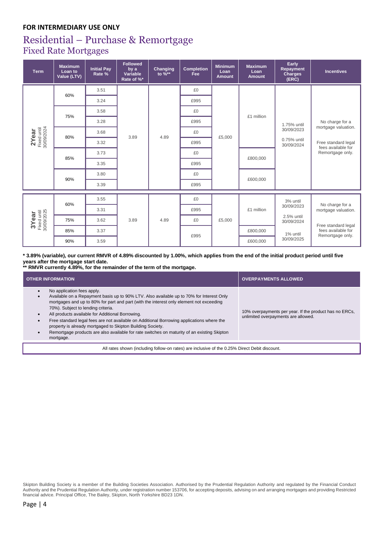## Residential – Purchase & Remortgage Fixed Rate Mortgages

| <b>Term</b>                        | <b>Maximum</b><br>Loan to<br>Value (LTV) | <b>Initial Pay</b><br>Rate % | <b>Followed</b><br>by a<br>Variable<br>Rate of %* | Changing<br>to %** | <b>Completion</b><br><b>Fee</b> | <b>Minimum</b><br>Loan<br><b>Amount</b> | <b>Maximum</b><br>Loan<br><b>Amount</b> | Early<br>Repayment<br><b>Charges</b><br>(ERC) | <b>Incentives</b>                                                                    |
|------------------------------------|------------------------------------------|------------------------------|---------------------------------------------------|--------------------|---------------------------------|-----------------------------------------|-----------------------------------------|-----------------------------------------------|--------------------------------------------------------------------------------------|
|                                    | 60%                                      | 3.51                         |                                                   |                    | £0                              |                                         |                                         |                                               |                                                                                      |
|                                    |                                          | 3.24                         |                                                   |                    | £995                            |                                         |                                         |                                               |                                                                                      |
|                                    | 75%                                      | 3.58                         |                                                   |                    | £0                              |                                         | £1 million                              |                                               |                                                                                      |
|                                    |                                          | 3.28                         |                                                   |                    | £995                            |                                         |                                         | 1.75% until                                   | No charge for a                                                                      |
|                                    | 80%                                      | 3.68                         | 3.89                                              | 4.89               | £0                              | £5,000                                  |                                         | 30/09/2023<br>0.75% until<br>30/09/2024       | mortgage valuation.<br>Free standard legal<br>fees available for<br>Remortgage only. |
| 2Year<br>Fixed until<br>30/09/2024 |                                          | 3.32                         |                                                   |                    | £995                            |                                         |                                         |                                               |                                                                                      |
|                                    | 85%                                      | 3.73                         |                                                   |                    | £0                              |                                         | £800,000                                |                                               |                                                                                      |
|                                    |                                          | 3.35                         |                                                   |                    | £995                            |                                         |                                         |                                               |                                                                                      |
|                                    | 90%                                      | 3.80                         |                                                   |                    | £0                              |                                         | £600,000                                |                                               |                                                                                      |
|                                    |                                          | 3.39                         |                                                   |                    | £995                            |                                         |                                         |                                               |                                                                                      |
|                                    |                                          | 3.55                         |                                                   |                    | £0                              |                                         |                                         | 3% until                                      |                                                                                      |
|                                    | 60%                                      | 3.31                         |                                                   |                    | £995                            |                                         | £1 million                              | 30/09/2023                                    | No charge for a<br>mortgage valuation.                                               |
| 3Year<br>Fixed until<br>30/09/2025 | 75%                                      | 3.62                         | 3.89                                              | 4.89               | £0                              | £5,000                                  |                                         | 2.5% until<br>30/09/2024                      |                                                                                      |
|                                    | 85%                                      | 3.37                         |                                                   |                    | £995                            |                                         | £800,000                                | 1% until                                      | Free standard legal<br>fees available for                                            |
|                                    | 90%                                      | 3.59                         |                                                   |                    |                                 |                                         | £600,000                                | 30/09/2025                                    | Remortgage only.                                                                     |

**\* 3.89% (variable), our current RMVR of 4.89% discounted by 1.00%, which applies from the end of the initial product period until five years after the mortgage start date.**

**\*\* RMVR currently 4.89%, for the remainder of the term of the mortgage.**

| <b>OTHER INFORMATION</b>                                                                                                                                                                                                                                                                                                                                                                                                                                                                                                                                                           | <b>OVERPAYMENTS ALLOWED</b>                                                                   |  |  |  |  |  |
|------------------------------------------------------------------------------------------------------------------------------------------------------------------------------------------------------------------------------------------------------------------------------------------------------------------------------------------------------------------------------------------------------------------------------------------------------------------------------------------------------------------------------------------------------------------------------------|-----------------------------------------------------------------------------------------------|--|--|--|--|--|
| No application fees apply.<br>Available on a Repayment basis up to 90% LTV. Also available up to 70% for Interest Only<br>mortgages and up to 80% for part and part (with the interest only element not exceeding<br>70%). Subject to lending criteria.<br>All products available for Additional Borrowing.<br>Free standard legal fees are not available on Additional Borrowing applications where the<br>property is already mortgaged to Skipton Building Society.<br>Remortgage products are also available for rate switches on maturity of an existing Skipton<br>mortgage. | 10% overpayments per year. If the product has no ERCs,<br>unlimited overpayments are allowed. |  |  |  |  |  |
| All rates shown (including follow-on rates) are inclusive of the 0.25% Direct Debit discount.                                                                                                                                                                                                                                                                                                                                                                                                                                                                                      |                                                                                               |  |  |  |  |  |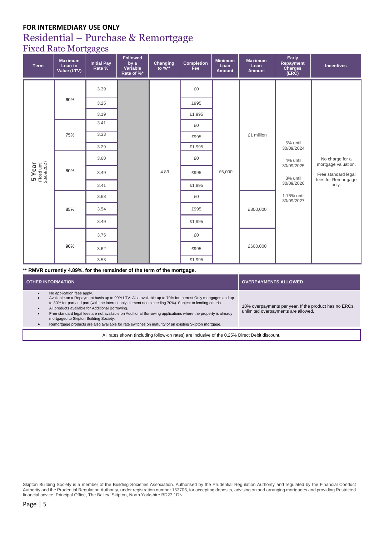## Residential – Purchase & Remortgage

Fixed Rate Mortgages

| <b>Term</b>                         | <b>Maximum</b><br>Loan to<br>Value (LTV) | <b>Initial Pay</b><br>Rate % | <b>Followed</b><br>by a<br>Variable<br>Rate of %* | Changing<br>to %** | <b>Completion</b><br>Fee | <b>Minimum</b><br>Loan<br>Amount | <b>Maximum</b><br>Loan<br><b>Amount</b> | Early<br>Repayment<br>Charges<br>(ERC)                                                                                                  | <b>Incentives</b>                          |
|-------------------------------------|------------------------------------------|------------------------------|---------------------------------------------------|--------------------|--------------------------|----------------------------------|-----------------------------------------|-----------------------------------------------------------------------------------------------------------------------------------------|--------------------------------------------|
|                                     |                                          | 3.39                         |                                                   |                    | £0                       |                                  |                                         |                                                                                                                                         |                                            |
|                                     | 60%                                      | 3.25                         |                                                   |                    | £995                     |                                  |                                         |                                                                                                                                         |                                            |
|                                     |                                          | 3.19                         |                                                   |                    | £1,995                   |                                  |                                         |                                                                                                                                         |                                            |
|                                     |                                          | 3.41                         |                                                   |                    | £0                       |                                  |                                         |                                                                                                                                         |                                            |
| 5 Year<br>Fixed until<br>30/09/2027 | 75%                                      | 3.33                         |                                                   | 4.89               | £995                     | £5,000                           | £1 million                              | 5% until<br>30/09/2024<br>4% until<br>mortgage valuation.<br>30/09/2025<br>3% until<br>30/09/2026<br>only.<br>1.75% until<br>30/09/2027 |                                            |
|                                     |                                          | 3.29                         |                                                   |                    | £1,995                   |                                  |                                         |                                                                                                                                         |                                            |
|                                     | 80%                                      | 3.60                         |                                                   |                    | £0                       |                                  |                                         |                                                                                                                                         | No charge for a                            |
|                                     |                                          | 3.49                         |                                                   |                    | £995                     |                                  |                                         |                                                                                                                                         | Free standard legal<br>fees for Remortgage |
|                                     |                                          | 3.41                         |                                                   |                    | £1,995                   |                                  |                                         |                                                                                                                                         |                                            |
|                                     |                                          | 3.68                         |                                                   |                    | £0                       |                                  | £800,000                                |                                                                                                                                         |                                            |
|                                     | 85%                                      | 3.54                         |                                                   |                    | £995                     |                                  |                                         |                                                                                                                                         |                                            |
|                                     |                                          | 3.49                         |                                                   |                    | £1,995                   |                                  |                                         |                                                                                                                                         |                                            |
|                                     |                                          | 3.75                         |                                                   |                    | £0                       |                                  |                                         |                                                                                                                                         |                                            |
|                                     | 90%                                      | 3.62                         |                                                   |                    | £995                     |                                  | £600,000                                |                                                                                                                                         |                                            |
|                                     |                                          | 3.53                         |                                                   |                    | £1,995                   |                                  |                                         |                                                                                                                                         |                                            |

**\*\* RMVR currently 4.89%, for the remainder of the term of the mortgage.**

| <b>OTHER INFORMATION</b>                                                                                                                                                                                                                                                                                                                                                                                                                                                                                                                                                     | <b>OVERPAYMENTS ALLOWED</b>                                                                   |  |  |  |  |
|------------------------------------------------------------------------------------------------------------------------------------------------------------------------------------------------------------------------------------------------------------------------------------------------------------------------------------------------------------------------------------------------------------------------------------------------------------------------------------------------------------------------------------------------------------------------------|-----------------------------------------------------------------------------------------------|--|--|--|--|
| No application fees apply.<br>Available on a Repayment basis up to 90% LTV. Also available up to 70% for Interest Only mortgages and up<br>to 80% for part and part (with the interest only element not exceeding 70%). Subject to lending criteria.<br>All products available for Additional Borrowing.<br>Free standard legal fees are not available on Additional Borrowing applications where the property is already<br>mortgaged to Skipton Building Society.<br>Remortgage products are also available for rate switches on maturity of an existing Skipton mortgage. | 10% overpayments per year. If the product has no ERCs,<br>unlimited overpayments are allowed. |  |  |  |  |
| All rates shown (including follow-on rates) are inclusive of the 0.25% Direct Debit discount.                                                                                                                                                                                                                                                                                                                                                                                                                                                                                |                                                                                               |  |  |  |  |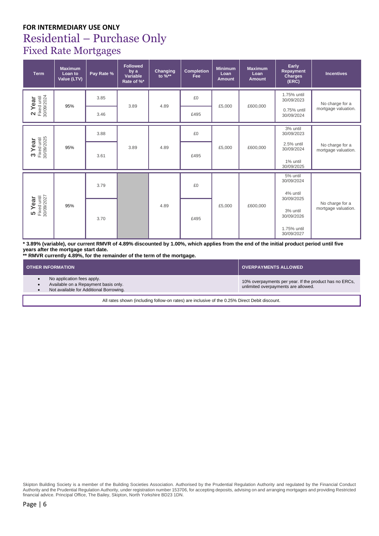## **FOR INTERMEDIARY USE ONLY** Residential – Purchase Only Fixed Rate Mortgages

| <b>Term</b>                           | <b>Maximum</b><br>Loan to<br>Value (LTV) | Pay Rate % | <b>Followed</b><br>by a<br>Variable<br>Rate of %* | Changing<br>to %** | <b>Completion</b><br>Fee | <b>Minimum</b><br>Loan<br><b>Amount</b> | <b>Maximum</b><br>Loan<br><b>Amount</b> | Early<br>Repayment<br>Charges<br>(ERC) | <b>Incentives</b>                      |
|---------------------------------------|------------------------------------------|------------|---------------------------------------------------|--------------------|--------------------------|-----------------------------------------|-----------------------------------------|----------------------------------------|----------------------------------------|
|                                       |                                          | 3.85       |                                                   |                    | £0                       |                                         |                                         | 1.75% until<br>30/09/2023              | No charge for a                        |
| 2 Year<br>Fixed until<br>30/09/2024   | 95%                                      | 3.46       | 3.89                                              | 4.89               | £495                     | £5,000                                  | £600,000                                | 0.75% until<br>30/09/2024              | mortgage valuation.                    |
|                                       |                                          | 3.88       |                                                   |                    | £0                       |                                         |                                         | 3% until<br>30/09/2023                 |                                        |
| $3$ Year<br>Fixed until<br>30/09/2025 | 95%                                      | 3.61       | 3.89                                              | 4.89               | £495                     | £5,000                                  | £600,000                                | 2.5% until<br>30/09/2024               | No charge for a<br>mortgage valuation. |
|                                       |                                          |            |                                                   |                    |                          |                                         |                                         | 1% until<br>30/09/2025                 |                                        |
|                                       |                                          | 3.79       |                                                   |                    | £0                       |                                         |                                         | 5% until<br>30/09/2024                 |                                        |
|                                       |                                          |            |                                                   |                    |                          |                                         |                                         | 4% until<br>30/09/2025                 |                                        |
| $5$ Year<br>Fixed until<br>30/09/2027 | 95%                                      | 3.70       |                                                   | 4.89               | £495                     | £5,000                                  | £600,000                                | 3% until<br>30/09/2026                 | No charge for a<br>mortgage valuation. |
|                                       |                                          |            |                                                   |                    |                          |                                         |                                         | 1.75% until<br>30/09/2027              |                                        |

**\* 3.89% (variable), our current RMVR of 4.89% discounted by 1.00%, which applies from the end of the initial product period until five years after the mortgage start date.**

**\*\* RMVR currently 4.89%, for the remainder of the term of the mortgage.**

| <b>OTHER INFORMATION</b>                                                                                      | <b>OVERPAYMENTS ALLOWED</b>                                                                   |
|---------------------------------------------------------------------------------------------------------------|-----------------------------------------------------------------------------------------------|
| No application fees apply.<br>Available on a Repayment basis only.<br>Not available for Additional Borrowing. | 10% overpayments per year. If the product has no ERCs,<br>unlimited overpayments are allowed. |

All rates shown (including follow-on rates) are inclusive of the 0.25% Direct Debit discount.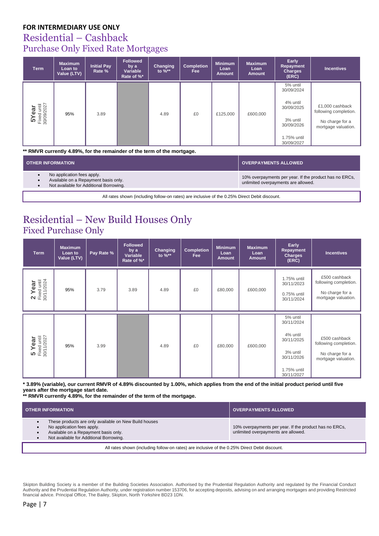## Residential – Cashback Purchase Only Fixed Rate Mortgages

| <b>Term</b>                         | <b>Maximum</b><br>Loan to<br>Value (LTV) | <b>Initial Pay</b><br>Rate % | <b>Followed</b><br>by a<br>Variable<br>Rate of %* | Changing<br>to $\%^{**}$ | <b>Completion</b><br>Fee | <b>Minimum</b><br>Loan<br><b>Amount</b> | <b>Maximum</b><br>Loan<br><b>Amount</b> | Early<br><b>Repayment</b><br><b>Charges</b><br>(ERC)                                                    | <b>Incentives</b>                                                                  |
|-------------------------------------|------------------------------------------|------------------------------|---------------------------------------------------|--------------------------|--------------------------|-----------------------------------------|-----------------------------------------|---------------------------------------------------------------------------------------------------------|------------------------------------------------------------------------------------|
| 5 Year<br>Fixed until<br>30/09/2027 | 95%                                      | 3.89                         |                                                   | 4.89                     | £0                       | £125,000                                | £600,000                                | 5% until<br>30/09/2024<br>4% until<br>30/09/2025<br>3% until<br>30/09/2026<br>1.75% until<br>30/09/2027 | £1,000 cashback<br>following completion.<br>No charge for a<br>mortgage valuation. |

**\*\* RMVR currently 4.89%, for the remainder of the term of the mortgage.**

| <b>OTHER INFORMATION</b>                                                                                      | <b>OVERPAYMENTS ALLOWED</b>                                                                   |  |  |  |  |  |
|---------------------------------------------------------------------------------------------------------------|-----------------------------------------------------------------------------------------------|--|--|--|--|--|
| No application fees apply.<br>Available on a Repayment basis only.<br>Not available for Additional Borrowing. | 10% overpayments per year. If the product has no ERCs,<br>unlimited overpayments are allowed. |  |  |  |  |  |
| All rates shown (including follow-on rates) are inclusive of the 0.25% Direct Debit discount.                 |                                                                                               |  |  |  |  |  |

## Residential – New Build Houses Only Fixed Purchase Only

| <b>Term</b>                           | <b>Maximum</b><br>Loan to<br>Value (LTV) | Pay Rate % | <b>Followed</b><br>by a<br>Variable<br>Rate of %* | Changing<br>to $\%**$ | <b>Completion</b><br><b>Fee</b> | <b>Minimum</b><br>Loan<br><b>Amount</b> | <b>Maximum</b><br>Loan<br><b>Amount</b> | Early<br>Repayment<br>Charges<br>(ERC)                                                                  | <b>Incentives</b>                                                                |
|---------------------------------------|------------------------------------------|------------|---------------------------------------------------|-----------------------|---------------------------------|-----------------------------------------|-----------------------------------------|---------------------------------------------------------------------------------------------------------|----------------------------------------------------------------------------------|
| 2 Year<br>Fixed until<br>30/11/2024   | 95%                                      | 3.79       | 3.89                                              | 4.89                  | £0                              | £80,000                                 | £600,000                                | 1.75% until<br>30/11/2023<br>0.75% until<br>30/11/2024                                                  | £500 cashback<br>following completion.<br>No charge for a<br>mortgage valuation. |
| $5$ Year<br>Fixed until<br>30/11/2027 | 95%                                      | 3.99       |                                                   | 4.89                  | £0                              | £80,000                                 | £600,000                                | 5% until<br>30/11/2024<br>4% until<br>30/11/2025<br>3% until<br>30/11/2026<br>1.75% until<br>30/11/2027 | £500 cashback<br>following completion.<br>No charge for a<br>mortgage valuation. |

**\* 3.89% (variable), our current RMVR of 4.89% discounted by 1.00%, which applies from the end of the initial product period until five years after the mortgage start date.**

**\*\* RMVR currently 4.89%, for the remainder of the term of the mortgage.**

| <b>OTHER INFORMATION</b>                                                                                                                                               | <b>OVERPAYMENTS ALLOWED</b>                                                                   |  |  |  |  |
|------------------------------------------------------------------------------------------------------------------------------------------------------------------------|-----------------------------------------------------------------------------------------------|--|--|--|--|
| These products are only available on New Build houses<br>No application fees apply.<br>Available on a Repayment basis only.<br>Not available for Additional Borrowing. | 10% overpayments per year. If the product has no ERCs,<br>unlimited overpayments are allowed. |  |  |  |  |
| All rates shown (including follow-on rates) are inclusive of the 0.25% Direct Debit discount.                                                                          |                                                                                               |  |  |  |  |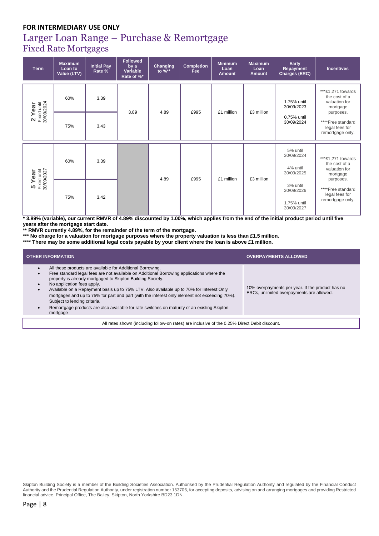## Larger Loan Range – Purchase & Remortgage Fixed Rate Mortgages

| <b>Term</b>                         | <b>Maximum</b><br>Loan to<br>Value (LTV) | <b>Initial Pay</b><br>Rate % | <b>Followed</b><br>by a<br>Variable<br>Rate of %* | Changing<br>to $\%**$ | <b>Completion</b><br><b>Fee</b> | <b>Minimum</b><br>Loan<br>Amount | <b>Maximum</b><br>Loan<br><b>Amount</b> | Early<br>Repayment<br><b>Charges (ERC)</b>          | <b>Incentives</b>                                                            |
|-------------------------------------|------------------------------------------|------------------------------|---------------------------------------------------|-----------------------|---------------------------------|----------------------------------|-----------------------------------------|-----------------------------------------------------|------------------------------------------------------------------------------|
|                                     | 60%                                      | 3.39                         |                                                   | 4.89                  | £995                            | £1 million                       | £3 million                              | 1.75% until<br>30/09/2023                           | ***£1,271 towards<br>the cost of a<br>valuation for<br>mortgage<br>purposes. |
| 2 Year<br>Fixed until<br>30/09/2024 | 75%                                      | 3.43                         | 3.89                                              |                       |                                 |                                  |                                         | 0.75% until<br>30/09/2024                           | ****Free standard<br>legal fees for<br>remortgage only.                      |
|                                     | 60%                                      | 3.39                         |                                                   |                       |                                 |                                  |                                         | 5% until<br>30/09/2024<br>4% until<br>30/09/2025    | ***£1,271 towards<br>the cost of a<br>valuation for<br>mortgage<br>purposes. |
| 5 Year<br>Fixed until<br>30/09/2027 | 75%                                      | 3.42                         |                                                   | 4.89                  | £995                            | £1 million                       | £3 million                              | 3% until<br>30/09/2026<br>1.75% until<br>30/09/2027 | ****Free standard<br>legal fees for<br>remortgage only.                      |

**\* 3.89% (variable), our current RMVR of 4.89% discounted by 1.00%, which applies from the end of the initial product period until five years after the mortgage start date.**

**\*\* RMVR currently 4.89%, for the remainder of the term of the mortgage.**

**\*\*\* No charge for a valuation for mortgage purposes where the property valuation is less than £1.5 million.**

**\*\*\*\* There may be some additional legal costs payable by your client where the loan is above £1 million.** 

| <b>OTHER INFORMATION</b>                                                                                                                                                                                                                                                                                                                                                                                                                                                                                                                                                                                                           | <b>OVERPAYMENTS ALLOWED</b>                                                                   |  |  |  |  |  |  |
|------------------------------------------------------------------------------------------------------------------------------------------------------------------------------------------------------------------------------------------------------------------------------------------------------------------------------------------------------------------------------------------------------------------------------------------------------------------------------------------------------------------------------------------------------------------------------------------------------------------------------------|-----------------------------------------------------------------------------------------------|--|--|--|--|--|--|
| All these products are available for Additional Borrowing.<br>$\bullet$<br>Free standard legal fees are not available on Additional Borrowing applications where the<br>$\bullet$<br>property is already mortgaged to Skipton Building Society.<br>No application fees apply.<br>Available on a Repayment basis up to 75% LTV. Also available up to 70% for Interest Only<br>$\bullet$<br>mortgages and up to 75% for part and part (with the interest only element not exceeding 70%).<br>Subject to lending criteria.<br>Remortgage products are also available for rate switches on maturity of an existing Skipton<br>mortgage | 10% overpayments per year. If the product has no<br>ERCs, unlimited overpayments are allowed. |  |  |  |  |  |  |
| All rates shown (including follow-on rates) are inclusive of the 0.25% Direct Debit discount.                                                                                                                                                                                                                                                                                                                                                                                                                                                                                                                                      |                                                                                               |  |  |  |  |  |  |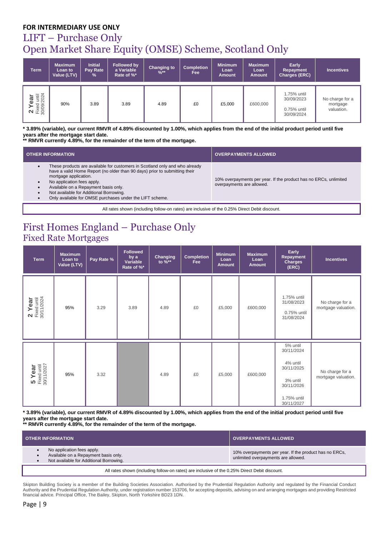## LIFT – Purchase Only Open Market Share Equity (OMSE) Scheme, Scotland Only

| <b>Term</b>                         | <b>Maximum</b><br>Loan to<br>Value (LTV) | <b>Initial</b><br>Pay Rate<br>$\frac{9}{6}$ | <b>Followed by</b><br>a Variable<br>Rate of %* | <b>Changing to</b><br>$%$ ** | <b>Completion</b><br>Fee | <b>Minimum</b><br>Loan<br><b>Amount</b> | <b>Maximum</b><br>Loan<br><b>Amount</b> | Early<br>Repayment<br>Charges (ERC)                    | <b>Incentives</b>                         |
|-------------------------------------|------------------------------------------|---------------------------------------------|------------------------------------------------|------------------------------|--------------------------|-----------------------------------------|-----------------------------------------|--------------------------------------------------------|-------------------------------------------|
| 2 Year<br>Fixed until<br>30/09/2024 | 90%                                      | 3.89                                        | 3.89                                           | 4.89                         | £0                       | £5,000                                  | £600,000                                | 1.75% until<br>30/09/2023<br>0.75% until<br>30/09/2024 | No charge for a<br>mortgage<br>valuation. |

**\* 3.89% (variable), our current RMVR of 4.89% discounted by 1.00%, which applies from the end of the initial product period until five years after the mortgage start date.**

**\*\* RMVR currently 4.89%, for the remainder of the term of the mortgage.**

| <b>OTHER INFORMATION</b>                                                                                                                                                                                                                                                                                                                                        | <b>OVERPAYMENTS ALLOWED</b>                                                                   |  |  |  |  |  |  |  |
|-----------------------------------------------------------------------------------------------------------------------------------------------------------------------------------------------------------------------------------------------------------------------------------------------------------------------------------------------------------------|-----------------------------------------------------------------------------------------------|--|--|--|--|--|--|--|
| These products are available for customers in Scotland only and who already<br>have a valid Home Report (no older than 90 days) prior to submitting their<br>mortgage application.<br>No application fees apply.<br>Available on a Repayment basis only.<br>Not available for Additional Borrowing.<br>Only available for OMSE purchases under the LIFT scheme. | 10% overpayments per year. If the product has no ERCs, unlimited<br>overpayments are allowed. |  |  |  |  |  |  |  |
| All rates shown (including follow-on rates) are inclusive of the 0.25% Direct Debit discount.                                                                                                                                                                                                                                                                   |                                                                                               |  |  |  |  |  |  |  |

## First Homes England – Purchase Only Fixed Rate Mortgages

| <b>Term</b>                           | <b>Maximum</b><br>Loan to<br>Value (LTV) | Pay Rate % | <b>Followed</b><br>by a<br>Variable<br>Rate of %* | Changing<br>to %** | <b>Completion</b><br><b>Fee</b> | <b>Minimum</b><br>Loan<br><b>Amount</b> | <b>Maximum</b><br>Loan<br><b>Amount</b> | Early<br><b>Repayment</b><br><b>Charges</b><br>(ERC)                                                    | <b>Incentives</b>                      |
|---------------------------------------|------------------------------------------|------------|---------------------------------------------------|--------------------|---------------------------------|-----------------------------------------|-----------------------------------------|---------------------------------------------------------------------------------------------------------|----------------------------------------|
| 2 Year<br>Fixed until<br>30/11/2024   | 95%                                      | 3.29       | 3.89                                              | 4.89               | £0                              | £5,000                                  | £600,000                                | 1.75% until<br>31/08/2023<br>0.75% until<br>31/08/2024                                                  | No charge for a<br>mortgage valuation. |
| $5$ Year<br>Fixed until<br>30/11/2027 | 95%                                      | 3.32       |                                                   | 4.89               | £0                              | £5,000                                  | £600,000                                | 5% until<br>30/11/2024<br>4% until<br>30/11/2025<br>3% until<br>30/11/2026<br>1.75% until<br>30/11/2027 | No charge for a<br>mortgage valuation. |

**\* 3.89% (variable), our current RMVR of 4.89% discounted by 1.00%, which applies from the end of the initial product period until five years after the mortgage start date.**

**\*\* RMVR currently 4.89%, for the remainder of the term of the mortgage.**

| <b>OTHER INFORMATION</b>                                                                                      | <b>OVERPAYMENTS ALLOWED</b>                                                                   |
|---------------------------------------------------------------------------------------------------------------|-----------------------------------------------------------------------------------------------|
| No application fees apply.<br>Available on a Repayment basis only.<br>Not available for Additional Borrowing. | 10% overpayments per year. If the product has no ERCs,<br>unlimited overpayments are allowed. |
| .                                                                                                             |                                                                                               |

All rates shown (including follow-on rates) are inclusive of the 0.25% Direct Debit discount.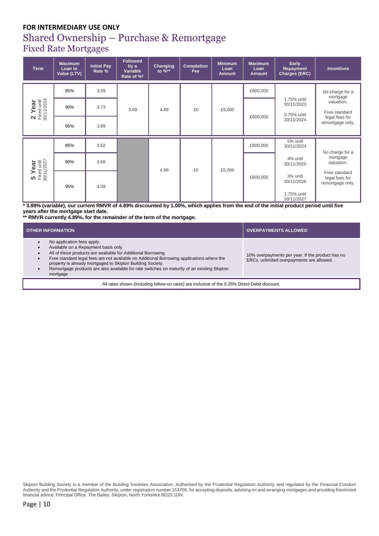#### Shared Ownership – Purchase & Remortgage Fixed Rate Mortgages

**Term Maximum Loan to Value (LTV) Initial Pay Rate % Followed by a Variable Rate of %\* Changing to %\*\* Completion Fee Minimum Loan Amount Maximum Loan Amount Early Repayment Charges (ERC) Incentives 2 Year** Fixed until 30/11/2024 85% 3.69 3.89 4.89 **E**  $\overline{60}$  **E**  $\overline{5,000}$ £800,000 1.75% until 30/11/2023 0.75% until 30/11/2024 No charge for a mortgage valuation. Free standard legal fees for remortgage only. 90% 3.73 £600,000 95% 3.99 **5 Year** Fixed until 30/11/2027 85% 3.62 4.89 **E E E E E E E E E E E E E E E E E E E E E E E E E E E E E E E** £800,000 5% until 30/11/2024 4% until 30/11/2025 3% until 30/11/2026 1.75% until 30/11/2027 No charge for a mortgage valuation. Free standard legal fees for remortgage only.  $90\%$   $3.68$ £600,000 95% 4.09

**\* 3.89% (variable), our current RMVR of 4.89% discounted by 1.00%, which applies from the end of the initial product period until five years after the mortgage start date.**

**\*\* RMVR currently 4.89%, for the remainder of the term of the mortgage.**

| <b>OTHER INFORMATION</b>                                                                                                                                                                                                                                                                                                                                                                                                                                     | <b>OVERPAYMENTS ALLOWED</b>                                                                   |  |  |  |  |  |  |  |
|--------------------------------------------------------------------------------------------------------------------------------------------------------------------------------------------------------------------------------------------------------------------------------------------------------------------------------------------------------------------------------------------------------------------------------------------------------------|-----------------------------------------------------------------------------------------------|--|--|--|--|--|--|--|
| No application fees apply.<br>$\bullet$<br>Available on a Repayment basis only<br>$\bullet$<br>All of these products are available for Additional Borrowing.<br>$\bullet$<br>Free standard legal fees are not available on Additional Borrowing applications where the<br>$\bullet$<br>property is already mortgaged to Skipton Building Society.<br>Remortgage products are also available for rate switches on maturity of an existing Skipton<br>mortgage | 10% overpayments per year. If the product has no<br>ERCs, unlimited overpayments are allowed. |  |  |  |  |  |  |  |
| All rates shown (including follow-on rates) are inclusive of the 0.25% Direct Debit discount.                                                                                                                                                                                                                                                                                                                                                                |                                                                                               |  |  |  |  |  |  |  |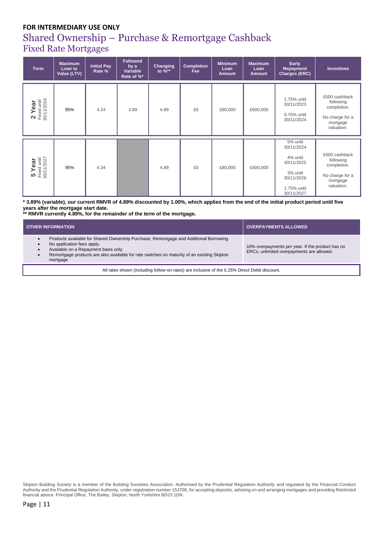## Shared Ownership – Purchase & Remortgage Cashback Fixed Rate Mortgages

| <b>Term</b>                           | <b>Maximum</b><br>Loan to<br>Value (LTV) | <b>Initial Pay</b><br>Rate % | <b>Followed</b><br>by a<br>Variable<br>Rate of %* | Changing<br>to $\%**$ | <b>Completion</b><br>Fee | <b>Minimum</b><br>Loan<br><b>Amount</b> | <b>Maximum</b><br>Loan<br><b>Amount</b> | Early<br>Repayment<br>Charges (ERC)                                                                     | <b>Incentives</b>                                                                      |
|---------------------------------------|------------------------------------------|------------------------------|---------------------------------------------------|-----------------------|--------------------------|-----------------------------------------|-----------------------------------------|---------------------------------------------------------------------------------------------------------|----------------------------------------------------------------------------------------|
| $2$ Year<br>Fixed until<br>30/11/2024 | 95%                                      | 4.24                         | 3.89                                              | 4.89                  | £0                       | £80,000                                 | £600,000                                | 1.75% until<br>30/11/2023<br>0.75% until<br>30/11/2024                                                  | £500 cashback<br>following<br>completion.<br>No charge for a<br>mortgage<br>valuation. |
| $5$ Year<br>Fixed until<br>30/11/2027 | 95%                                      | 4.34                         |                                                   | 4.89                  | £0                       | £80,000                                 | £600,000                                | 5% until<br>30/11/2024<br>4% until<br>30/11/2025<br>3% until<br>30/11/2026<br>1.75% until<br>30/11/2027 | £500 cashback<br>following<br>completion.<br>No charge for a<br>mortgage<br>valuation. |

**\* 3.89% (variable), our current RMVR of 4.89% discounted by 1.00%, which applies from the end of the initial product period until five years after the mortgage start date.**

**\*\* RMVR currently 4.89%, for the remainder of the term of the mortgage.**

| Products available for Shared Ownership Purchase, Remortgage and Additional Borrowing.<br>No application fees apply.<br>10% overpayments per year. If the product has no<br>Available on a Repayment basis only.<br>ERCs, unlimited overpayments are allowed. | <b>OTHER INFORMATION</b>                                                                    | <b>OVERPAYMENTS ALLOWED</b> |
|---------------------------------------------------------------------------------------------------------------------------------------------------------------------------------------------------------------------------------------------------------------|---------------------------------------------------------------------------------------------|-----------------------------|
| mortgage                                                                                                                                                                                                                                                      | Remortgage products are also available for rate switches on maturity of an existing Skipton |                             |
| All rates shown (including follow-on rates) are inclusive of the 0.25% Direct Debit discount.                                                                                                                                                                 |                                                                                             |                             |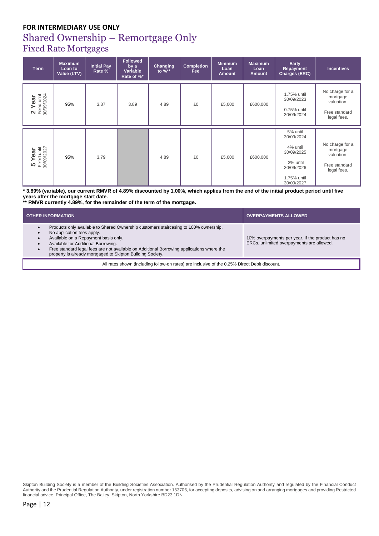# Shared Ownership – Remortgage Only

Fixed Rate Mortgages

| <b>Term</b>                         | <b>Maximum</b><br>Loan to<br>Value (LTV) | <b>Initial Pay</b><br>Rate % | <b>Followed</b><br>by a<br>Variable<br>Rate of %* | Changing<br>to $\%**$ | <b>Completion</b><br>Fee | <b>Minimum</b><br>Loan<br><b>Amount</b> | <b>Maximum</b><br>Loan<br><b>Amount</b> | Early<br>Repayment<br>Charges (ERC)                                                                     | <b>Incentives</b>                                                         |
|-------------------------------------|------------------------------------------|------------------------------|---------------------------------------------------|-----------------------|--------------------------|-----------------------------------------|-----------------------------------------|---------------------------------------------------------------------------------------------------------|---------------------------------------------------------------------------|
| 2 Year<br>Fixed until<br>30/09/2024 | 95%                                      | 3.87                         | 3.89                                              | 4.89                  | £0                       | £5,000                                  | £600,000                                | 1.75% until<br>30/09/2023<br>0.75% until<br>30/09/2024                                                  | No charge for a<br>mortgage<br>valuation.<br>Free standard<br>legal fees. |
| 5 Year<br>Fixed until<br>30/09/2027 | 95%                                      | 3.79                         |                                                   | 4.89                  | £0                       | £5,000                                  | £600,000                                | 5% until<br>30/09/2024<br>4% until<br>30/09/2025<br>3% until<br>30/09/2026<br>1.75% until<br>30/09/2027 | No charge for a<br>mortgage<br>valuation.<br>Free standard<br>legal fees. |

**\* 3.89% (variable), our current RMVR of 4.89% discounted by 1.00%, which applies from the end of the initial product period until five years after the mortgage start date.**

**\*\* RMVR currently 4.89%, for the remainder of the term of the mortgage.**

| <b>OTHER INFORMATION</b>                                                                                                                                                                                                                                                                                                                                     | <b>OVERPAYMENTS ALLOWED</b>                                                                   |  |  |  |  |  |  |  |
|--------------------------------------------------------------------------------------------------------------------------------------------------------------------------------------------------------------------------------------------------------------------------------------------------------------------------------------------------------------|-----------------------------------------------------------------------------------------------|--|--|--|--|--|--|--|
| Products only available to Shared Ownership customers staircasing to 100% ownership.<br>No application fees apply.<br>Available on a Repayment basis only.<br>Available for Additional Borrowing.<br>Free standard legal fees are not available on Additional Borrowing applications where the<br>property is already mortgaged to Skipton Building Society. | 10% overpayments per year. If the product has no<br>ERCs, unlimited overpayments are allowed. |  |  |  |  |  |  |  |
| All rates shown (including follow-on rates) are inclusive of the 0.25% Direct Debit discount.                                                                                                                                                                                                                                                                |                                                                                               |  |  |  |  |  |  |  |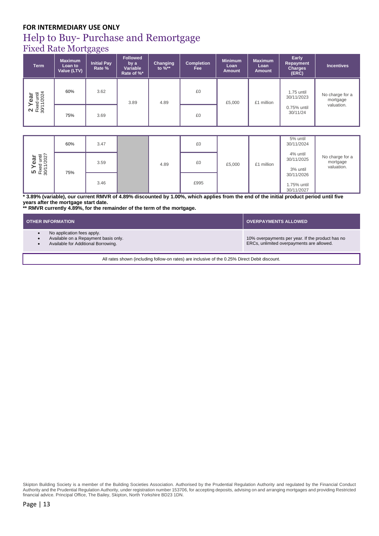## Help to Buy- Purchase and Remortgage

## Fixed Rate Mortgages

| <b>Term</b>                         | <b>Maximum</b><br>Loan to<br>Value (LTV) | Initial Pay<br>Rate % | <b>Followed</b><br>by a<br>Variable<br>Rate of %* | Changing<br>to $%^*$ | <b>Completion</b><br>Fee | <b>Minimum</b><br>Loan<br><b>Amount</b> | <b>Maximum</b><br>Loan<br><b>Amount</b> | Early<br><b>Repayment</b><br><b>Charges</b><br>(ERC) | <b>Incentives</b>           |
|-------------------------------------|------------------------------------------|-----------------------|---------------------------------------------------|----------------------|--------------------------|-----------------------------------------|-----------------------------------------|------------------------------------------------------|-----------------------------|
| 2 Year<br>Fixed until<br>30/11/2024 | 60%                                      | 3.62                  | 3.89                                              | 4.89                 | £0                       | £5,000                                  | £1 million                              | 1.75 until<br>30/11/2023                             | No charge for a<br>mortgage |
|                                     | 75%                                      | 3.69                  |                                                   |                      | £0                       |                                         |                                         | 0.75% until<br>30/11/24                              | valuation.                  |

|                                     | 60% | 3.47 |      | £0   |        |            | 5% until<br>30/11/2024                  |                                           |
|-------------------------------------|-----|------|------|------|--------|------------|-----------------------------------------|-------------------------------------------|
| 5 Year<br>Fixed until<br>30/11/2027 |     | 3.59 | 4.89 | £0   | £5,000 | £1 million | 4% until<br>30/11/2025<br>3% until      | No charge for a<br>mortgage<br>valuation. |
|                                     | 75% | 3.46 |      | £995 |        |            | 30/11/2026<br>1.75% until<br>30/11/2027 |                                           |

**\* 3.89% (variable), our current RMVR of 4.89% discounted by 1.00%, which applies from the end of the initial product period until five years after the mortgage start date.**

**\*\* RMVR currently 4.89%, for the remainder of the term of the mortgage.**

| <b>OTHER INFORMATION</b>                                                                                  | <b>OVERPAYMENTS ALLOWED</b>                                                                   |
|-----------------------------------------------------------------------------------------------------------|-----------------------------------------------------------------------------------------------|
| No application fees apply.<br>Available on a Repayment basis only.<br>Available for Additional Borrowing. | 10% overpayments per year. If the product has no<br>ERCs, unlimited overpayments are allowed. |
|                                                                                                           |                                                                                               |

All rates shown (including follow-on rates) are inclusive of the 0.25% Direct Debit discount.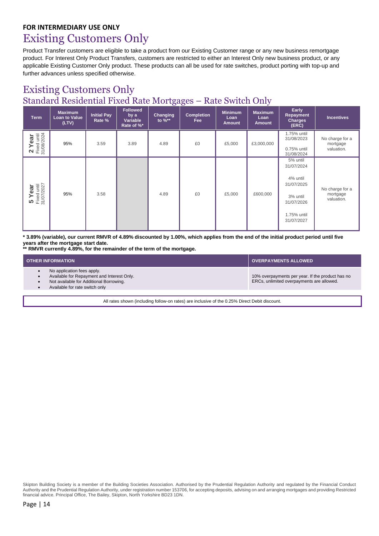## Existing Customers Only

Product Transfer customers are eligible to take a product from our Existing Customer range or any new business remortgage product. For Interest Only Product Transfers, customers are restricted to either an Interest Only new business product, or any applicable Existing Customer Only product. These products can all be used for rate switches, product porting with top-up and further advances unless specified otherwise.

## Existing Customers Only Standard Residential Fixed Rate Mortgages – Rate Switch Only

| <b>Term</b>                           | <b>Maximum</b><br>Loan to Value<br>(LTV) | <b>Initial Pay</b><br>Rate % | <b>Followed</b><br>by a<br>Variable<br>Rate of %* | Changing<br>to $\%**$ | <b>Completion</b><br>Fee | <b>Minimum</b><br>Loan<br><b>Amount</b> | <b>Maximum</b><br>Loan<br><b>Amount</b> | Early<br>Repayment<br><b>Charges</b><br>(ERC)                                                           | <b>Incentives</b>                         |
|---------------------------------------|------------------------------------------|------------------------------|---------------------------------------------------|-----------------------|--------------------------|-----------------------------------------|-----------------------------------------|---------------------------------------------------------------------------------------------------------|-------------------------------------------|
| 2 Year<br>Fixed until<br>31/08/2024   | 95%                                      | 3.59                         | 3.89                                              | 4.89                  | £0                       | £5,000                                  | £3,000,000                              | 1.75% until<br>31/08/2023<br>0.75% until<br>31/08/2024                                                  | No charge for a<br>mortgage<br>valuation. |
| $5$ Year<br>Fixed until<br>31/07/2027 | 95%                                      | 3.58                         |                                                   | 4.89                  | £0                       | £5,000                                  | £600,000                                | 5% until<br>31/07/2024<br>4% until<br>31/07/2025<br>3% until<br>31/07/2026<br>1.75% until<br>31/07/2027 | No charge for a<br>mortgage<br>valuation. |

**\* 3.89% (variable), our current RMVR of 4.89% discounted by 1.00%, which applies from the end of the initial product period until five years after the mortgage start date.**

**\*\* RMVR currently 4.89%, for the remainder of the term of the mortgage.**

| <b>OTHER INFORMATION</b>                                                                                                                              | <b>OVERPAYMENTS ALLOWED</b>                                                                   |
|-------------------------------------------------------------------------------------------------------------------------------------------------------|-----------------------------------------------------------------------------------------------|
| No application fees apply.<br>Available for Repayment and Interest Only.<br>Not available for Additional Borrowing.<br>Available for rate switch only | 10% overpayments per year. If the product has no<br>ERCs, unlimited overpayments are allowed. |
|                                                                                                                                                       |                                                                                               |

All rates shown (including follow-on rates) are inclusive of the 0.25% Direct Debit discount.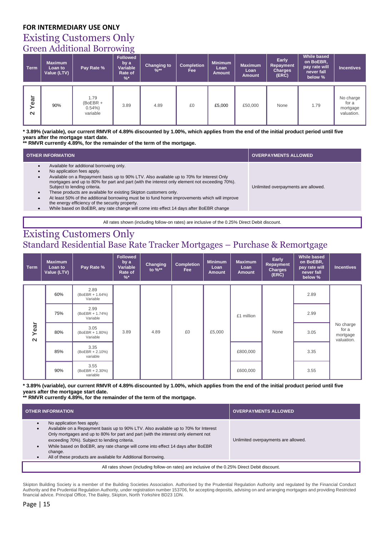## Existing Customers Only Green Additional Borrowing

| <b>Term</b>    | <b>Maximum</b><br>Loan to<br>Value (LTV) | Pay Rate %                                 | <u>_</u><br><b>Followed</b><br>by a<br>Variable<br>Rate of<br>% | <b>Changing to</b><br>$\frac{9}{6}$ ** | <b>Completion</b><br>Fee | <b>Minimum</b><br>Loan<br><b>Amount</b> | <b>Maximum</b><br>Loan<br><b>Amount</b> | Early<br><b>Repayment</b><br><b>Charges</b><br>(ERC) | <b>While based</b><br>on BoEBR,<br>pay rate will<br>never fall<br>below % | <b>Incentives</b>                            |
|----------------|------------------------------------------|--------------------------------------------|-----------------------------------------------------------------|----------------------------------------|--------------------------|-----------------------------------------|-----------------------------------------|------------------------------------------------------|---------------------------------------------------------------------------|----------------------------------------------|
| Year<br>$\sim$ | 90%                                      | 1.79<br>$(BoEBR +$<br>$0.54\%$<br>variable | 3.89                                                            | 4.89                                   | £0                       | £5,000                                  | £50,000                                 | None                                                 | 1.79                                                                      | No charge<br>for a<br>mortgage<br>valuation. |

**\* 3.89% (variable), our current RMVR of 4.89% discounted by 1.00%, which applies from the end of the initial product period until five years after the mortgage start date.**

#### **\*\* RMVR currently 4.89%, for the remainder of the term of the mortgage.**

| <b>OTHER INFORMATION</b>                                                                                                                                                                                                                                                                                                                                                                                                                                                                                                                                                                                               | <b>OVERPAYMENTS ALLOWED</b>         |  |  |  |  |  |
|------------------------------------------------------------------------------------------------------------------------------------------------------------------------------------------------------------------------------------------------------------------------------------------------------------------------------------------------------------------------------------------------------------------------------------------------------------------------------------------------------------------------------------------------------------------------------------------------------------------------|-------------------------------------|--|--|--|--|--|
| Available for additional borrowing only.<br>No application fees apply.<br>Available on a Repayment basis up to 90% LTV. Also available up to 70% for Interest Only<br>mortgages and up to 80% for part and part (with the interest only element not exceeding 70%).<br>Subject to lending criteria.<br>These products are available for existing Skipton customers only.<br>At least 50% of the additional borrowing must be to fund home improvements which will improve<br>the energy efficiency of the security property.<br>While based on BoEBR, any rate change will come into effect 14 days after BoEBR change | Unlimited overpayments are allowed. |  |  |  |  |  |
| All rates shown (including follow-on rates) are inclusive of the 0.25% Direct Debit discount.                                                                                                                                                                                                                                                                                                                                                                                                                                                                                                                          |                                     |  |  |  |  |  |

## Existing Customers Only Standard Residential Base Rate Tracker Mortgages – Purchase & Remortgage

| <b>Term</b>    | <b>Maximum</b><br>Loan to<br>Value (LTV) | Pay Rate %                            | <b>Followed</b><br>by a<br>Variable<br>Rate of<br>% | Changing<br>to %** | <b>Completion</b><br>Fee | <b>Minimum</b><br>Loan<br><b>Amount</b> | <b>Maximum</b><br>Loan<br><b>Amount</b> | Early<br><b>Repayment</b><br>Charges<br>(ERC) | <b>While based</b><br>on BoEBR,<br>pay rate will<br>never fall<br>below % | <b>Incentives</b>                            |
|----------------|------------------------------------------|---------------------------------------|-----------------------------------------------------|--------------------|--------------------------|-----------------------------------------|-----------------------------------------|-----------------------------------------------|---------------------------------------------------------------------------|----------------------------------------------|
|                | 60%                                      | 2.89<br>$(BoEBR + 1.64%)$<br>Variable |                                                     |                    |                          |                                         |                                         |                                               | 2.89                                                                      |                                              |
|                | 75%                                      | 2.99<br>(BoEBR + 1.74%)<br>Variable   | 3.89                                                | 4.89               | £0                       | £5,000                                  | £1 million                              | None                                          | 2.99                                                                      | No charge<br>for a<br>mortgage<br>valuation. |
| Year<br>$\sim$ | 80%                                      | 3.05<br>(BoEBR + 1.80%)<br>Variable   |                                                     |                    |                          |                                         |                                         |                                               | 3.05                                                                      |                                              |
|                | 85%                                      | 3.35<br>(BoEBR + 2.10%)<br>variable   |                                                     |                    |                          |                                         | £800,000                                |                                               | 3.35                                                                      |                                              |
|                | 90%                                      | 3.55<br>(BoEBR + 2.30%)<br>variable   |                                                     |                    |                          |                                         | £600,000                                |                                               | 3.55                                                                      |                                              |

**\* 3.89% (variable), our current RMVR of 4.89% discounted by 1.00%, which applies from the end of the initial product period until five years after the mortgage start date.**

**\*\* RMVR currently 4.89%, for the remainder of the term of the mortgage.**

| <b>OTHER INFORMATION</b>                                                                                                                                                                                                                                                                                                                                                                                               | <b>OVERPAYMENTS ALLOWED</b>         |  |  |  |  |  |
|------------------------------------------------------------------------------------------------------------------------------------------------------------------------------------------------------------------------------------------------------------------------------------------------------------------------------------------------------------------------------------------------------------------------|-------------------------------------|--|--|--|--|--|
| No application fees apply.<br>Available on a Repayment basis up to 90% LTV. Also available up to 70% for Interest<br>Only mortgages and up to 80% for part and part (with the interest only element not<br>exceeding 70%). Subject to lending criteria.<br>While based on BoEBR, any rate change will come into effect 14 days after BoEBR<br>change.<br>All of these products are available for Additional Borrowing. | Unlimited overpayments are allowed. |  |  |  |  |  |
| All rates shown (including follow-on rates) are inclusive of the 0.25% Direct Debit discount.                                                                                                                                                                                                                                                                                                                          |                                     |  |  |  |  |  |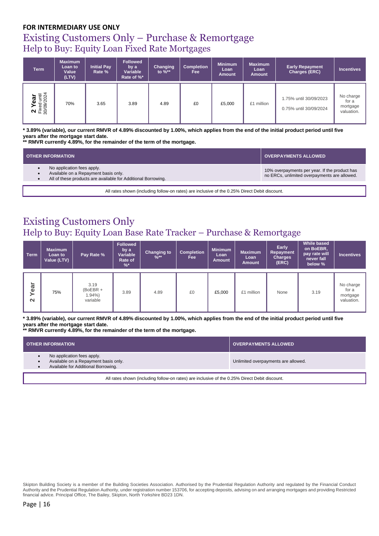## Existing Customers Only – Purchase & Remortgage Help to Buy: Equity Loan Fixed Rate Mortgages

| <b>Term</b>                         | <b>Maximum</b><br>Loan to<br>Value<br>(LTV) | <b>Initial Pay</b><br>Rate % | <b>Followed</b><br>by a<br>Variable<br>Rate of %* | Changing<br>to $%^*$ | <b>Completion</b><br>Fee: | <b>Minimum</b><br>Loan<br>Amount | <b>Maximum</b><br>Loan<br>Amount | <b>Early Repayment</b><br>Charges (ERC)          | <b>Incentives</b>                            |
|-------------------------------------|---------------------------------------------|------------------------------|---------------------------------------------------|----------------------|---------------------------|----------------------------------|----------------------------------|--------------------------------------------------|----------------------------------------------|
| 2 Year<br>Fixed until<br>30/09/2024 | 70%                                         | 3.65                         | 3.89                                              | 4.89                 | £0                        | £5,000                           | £1 million                       | 1.75% until 30/09/2023<br>0.75% until 30/09/2024 | No charge<br>for a<br>mortgage<br>valuation. |

**\* 3.89% (variable), our current RMVR of 4.89% discounted by 1.00%, which applies from the end of the initial product period until five years after the mortgage start date.**

**\*\* RMVR currently 4.89%, for the remainder of the term of the mortgage.**

| <b>OTHER INFORMATION</b>                                                                                                            | <b>OVERPAYMENTS ALLOWED</b>                                                                   |
|-------------------------------------------------------------------------------------------------------------------------------------|-----------------------------------------------------------------------------------------------|
| No application fees apply.<br>Available on a Repayment basis only.<br>All of these products are available for Additional Borrowing. | 10% overpayments per year. If the product has<br>no ERCs, unlimited overpayments are allowed. |

All rates shown (including follow-on rates) are inclusive of the 0.25% Direct Debit discount.

### Existing Customers Only Help to Buy: Equity Loan Base Rate Tracker – Purchase & Remortgage

| <b>Term</b>        | <b>Maximum</b><br>Loan to<br>Value (LTV) | Pay Rate %                                 | <b>Followed</b><br>by a<br>Variable<br>Rate of<br>% | <b>Changing to</b><br>$\frac{9}{6}$ ** | <b>Completion</b><br>Fee | <b>Minimum</b><br>Loan<br><b>Amount</b> | <b>Maximum</b><br>Loan<br><b>Amount</b> | Early<br>Repayment<br><b>Charges</b><br>(ERC) | While based<br>on BoEBR,<br>pay rate will<br>never fall<br>below % | <b>Incentives</b>                            |
|--------------------|------------------------------------------|--------------------------------------------|-----------------------------------------------------|----------------------------------------|--------------------------|-----------------------------------------|-----------------------------------------|-----------------------------------------------|--------------------------------------------------------------------|----------------------------------------------|
| ear<br>≻<br>$\sim$ | 75%                                      | 3.19<br>$(BoEBR +$<br>$1.94\%$<br>variable | 3.89                                                | 4.89                                   | £0                       | £5,000                                  | £1 million                              | None                                          | 3.19                                                               | No charge<br>for a<br>mortgage<br>valuation. |

**\* 3.89% (variable), our current RMVR of 4.89% discounted by 1.00%, which applies from the end of the initial product period until five years after the mortgage start date.**

**\*\* RMVR currently 4.89%, for the remainder of the term of the mortgage.**

| <b>OTHER INFORMATION</b>                                                                                               | <b>OVERPAYMENTS ALLOWED</b>         |  |  |  |  |  |
|------------------------------------------------------------------------------------------------------------------------|-------------------------------------|--|--|--|--|--|
| No application fees apply.<br>Available on a Repayment basis only.<br>Available for Additional Borrowing.<br>$\bullet$ | Unlimited overpayments are allowed. |  |  |  |  |  |
| All rates shown (including follow-on rates) are inclusive of the 0.25% Direct Debit discount.                          |                                     |  |  |  |  |  |